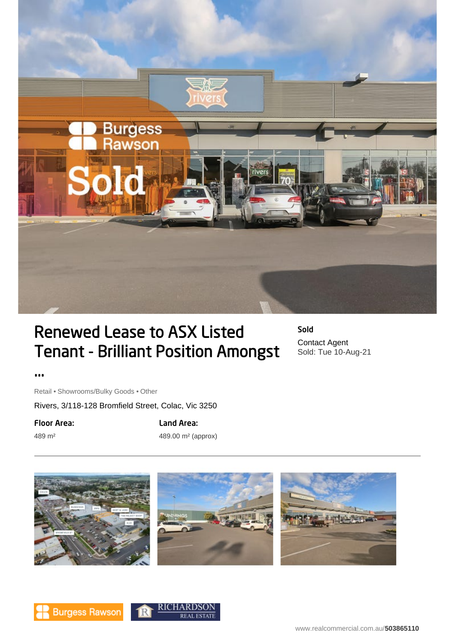

## Renewed Lease to ASX Listed Tenant - Brilliant Position Amongst

Sold Contact Agent Sold: Tue 10-Aug-21

...

Retail • Showrooms/Bulky Goods • Other

Rivers, 3/118-128 Bromfield Street, Colac, Vic 3250

Floor Area:

489 m²

Land Area: 489.00 m² (approx)